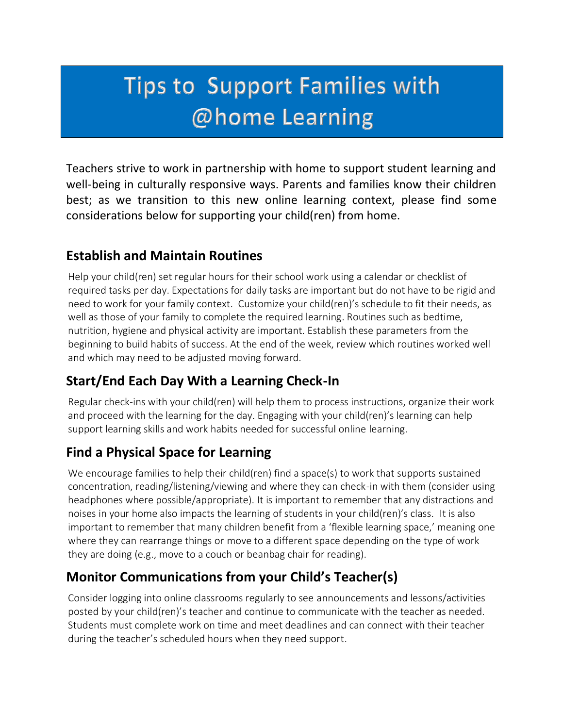# **Tips to Support Families with** @home Learning

Teachers strive to work in partnership with home to support student learning and well-being in culturally responsive ways. Parents and families know their children best; as we transition to this new online learning context, please find some considerations below for supporting your child(ren) from home.

#### **Establish and Maintain Routines and families ways. Parents and families ways. Parents and families ways. Parents and families ways. Parents and families ways. Parents and families was well as we transition to this new tra** Teachers strive to work in partnership with home to support student learning and well-being in  $\mathcal{L}$

Help your child(ren) set regular hours for their school work using a calendar or checklist of required tasks per day. Expectations for daily tasks are important but do not have to be rigid and need to work for your family context. Customize your child(ren)'s schedule to fit their needs, as well as those of your family to complete the required learning. Routines such as bedtime, nutrition, hygiene and physical activity are important. Establish these parameters from the beginning to build habits of success. At the end of the week, review which routines worked well and which may need to be adjusted moving forward. home.

### **Start/End Each Day With a Learning Check-In**

Regular check-ins with your child(ren) will help them to process instructions, organize their work and proceed with the learning for the day. Engaging with your child(ren)'s learning can help support learning skills and work habits needed for successful online learning.

### **Find a Physical Space for Learning**

We encourage families to help their child(ren) find a space(s) to work that supports sustained concentration, reading/listening/viewing and where they can check-in with them (consider using headphones where possible/appropriate). It is important to remember that any distractions and noises in your home also impacts the learning of students in your child(ren)'s class. It is also important to remember that many children benefit from a 'flexible learning space,' meaning one where they can rearrange things or move to a different space depending on the type of work they are doing (e.g., move to a couch or beanbag chair for reading).

### **Monitor Communications from your Child's Teacher(s)**

Consider logging into online classrooms regularly to see announcements and lessons/activities posted by your child(ren)'s teacher and continue to communicate with the teacher as needed. Students must complete work on time and meet deadlines and can connect with their teacher during the teacher's scheduled hours when they need support.